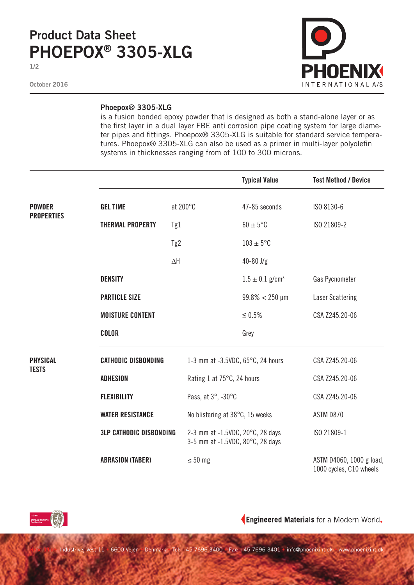## **Product Data Sheet PHOEPOX® 3305-XLG**

**1/2**

**October 2016**



## **Phoepox® 3305-XLG**

is a fusion bonded epoxy powder that is designed as both a stand-alone layer or as the first layer in a dual layer FBE anti corrosion pipe coating system for large diameter pipes and fittings. Phoepox® 3305-XLG is suitable for standard service temperatures. Phoepox® 3305-XLG can also be used as a primer in multi-layer polyolefin systems in thicknesses ranging from of 100 to 300 microns.

|                                    |                                |            |                                                                      | <b>Typical Value</b>                        | <b>Test Method / Device</b>                         |
|------------------------------------|--------------------------------|------------|----------------------------------------------------------------------|---------------------------------------------|-----------------------------------------------------|
| <b>POWDER</b><br><b>PROPERTIES</b> | <b>GEL TIME</b>                |            | at 200°C                                                             | 47-85 seconds                               | ISO 8130-6                                          |
|                                    | <b>THERMAL PROPERTY</b>        | Tg1        |                                                                      | $60 \pm 5^{\circ}$ C                        | ISO 21809-2                                         |
|                                    |                                | Tg2        |                                                                      | $103 \pm 5$ °C                              |                                                     |
|                                    |                                | $\Delta H$ |                                                                      | $40 - 80$ J/g                               |                                                     |
|                                    | <b>DENSITY</b>                 |            |                                                                      | $1.5 \pm 0.1$ g/cm <sup>3</sup>             | Gas Pycnometer                                      |
|                                    | <b>PARTICLE SIZE</b>           |            |                                                                      | $99.8\% < 250 \,\mu m$                      | <b>Laser Scattering</b>                             |
|                                    | <b>MOISTURE CONTENT</b>        |            |                                                                      | $\leq 0.5\%$                                | CSA Z245.20-06                                      |
|                                    | <b>COLOR</b>                   |            |                                                                      | Grey                                        |                                                     |
| <b>PHYSICAL</b>                    | <b>CATHODIC DISBONDING</b>     |            |                                                                      | 1-3 mm at -3.5VDC, $65^{\circ}$ C, 24 hours | CSA Z245.20-06                                      |
| <b>TESTS</b>                       | <b>ADHESION</b>                |            | Rating 1 at 75°C, 24 hours                                           |                                             | CSA Z245.20-06                                      |
|                                    | <b>FLEXIBILITY</b>             |            | Pass, at 3°, -30°C                                                   |                                             | CSA Z245.20-06                                      |
|                                    | <b>WATER RESISTANCE</b>        |            | No blistering at 38°C, 15 weeks                                      |                                             | ASTM D870                                           |
|                                    | <b>3LP CATHODIC DISBONDING</b> |            | 2-3 mm at -1.5VDC, 20°C, 28 days<br>3-5 mm at -1.5VDC, 80°C, 28 days |                                             | ISO 21809-1                                         |
|                                    | <b>ABRASION (TABER)</b>        |            | $\leq 50$ mg                                                         |                                             | ASTM D4060, 1000 g load,<br>1000 cycles, C10 wheels |



Engineered Materials for a Modern World.